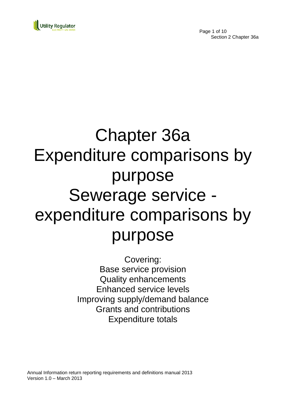

Page 1 of 10 Section 2 Chapter 36a

# Chapter 36a Expenditure comparisons by purpose Sewerage service expenditure comparisons by purpose

Covering: Base service provision Quality enhancements Enhanced service levels Improving supply/demand balance Grants and contributions Expenditure totals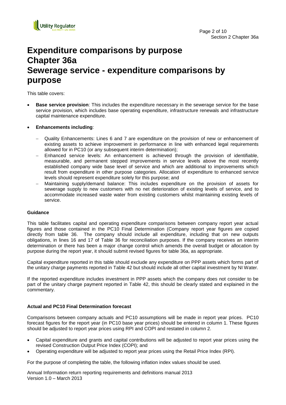

## **Expenditure comparisons by purpose Chapter 36a Sewerage service - expenditure comparisons by purpose**

This table covers:

- **Base service provision**: This includes the expenditure necessary in the sewerage service for the base service provision, which includes base operating expenditure, infrastructure renewals and infrastructure capital maintenance expenditure.
- **Enhancements including**:
	- Quality Enhancements: Lines 6 and 7 are expenditure on the provision of new or enhancement of existing assets to achieve improvement in performance in line with enhanced legal requirements allowed for in PC10 (or any subsequent interim determination);
	- Enhanced service levels: An enhancement is achieved through the provision of identifiable, measurable, and permanent stepped improvements in service levels above the most recently established company wide base level of service and which are additional to improvements which result from expenditure in other purpose categories. Allocation of expenditure to enhanced service levels should represent expenditure solely for this purpose; and
	- Maintaining supply/demand balance: This includes expenditure on the provision of assets for sewerage supply to new customers with no net deterioration of existing levels of service, and to accommodate increased waste water from existing customers whilst maintaining existing levels of service.

### **Guidance**

This table facilitates capital and operating expenditure comparisons between company report year actual figures and those contained in the PC10 Final Determination (Company report year figures are copied directly from table 36. The company should include all expenditure, including that on new outputs obligations, in lines 16 and 17 of Table 36 for reconciliation purposes. If the company receives an interim determination or there has been a major change control which amends the overall budget or allocation by purpose during the report year, it should submit revised figures for table 36a, as appropriate.

Capital expenditure reported in this table should exclude any expenditure on PPP assets which forms part of the unitary charge payments reported in Table 42 but should include all other capital investment by NI Water.

If the reported expenditure includes investment in PPP assets which the company does not consider to be part of the unitary charge payment reported in Table 42, this should be clearly stated and explained in the commentary.

### **Actual and PC10 Final Determination forecast**

Comparisons between company actuals and PC10 assumptions will be made in report year prices. PC10 forecast figures for the report year (in PC10 base year prices) should be entered in column 1. These figures should be adjusted to report year prices using RPI and COPI and restated in column 2.

- Capital expenditure and grants and capital contributions will be adjusted to report year prices using the revised Construction Output Price Index (COPI); and
- Operating expenditure will be adjusted to report year prices using the Retail Price Index (RPI).

For the purpose of completing the table, the following inflation index values should be used.

Annual Information return reporting requirements and definitions manual 2013 Version 1.0 – March 2013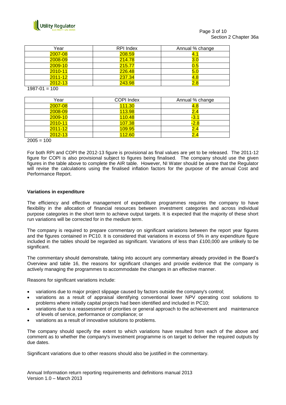

| Year        | <b>RPI</b> Index    | Annual % change |
|-------------|---------------------|-----------------|
| 2007-08     | <b>208.59</b>       | 4.1             |
| 2008-09     | <mark>214.78</mark> | 3.0             |
| 2009-10     | 215.77              | 0.5             |
| $2010 - 11$ | 226.48              | 5.0             |
| $2011 - 12$ | 237.34              | 4.8             |
| 2012-13     | 243.98              | 2.8             |

 $1987 - 01 = 100$ 

| Year        | <b>COPI Index</b> | Annual % change |
|-------------|-------------------|-----------------|
| 2007-08     | 111.30            | 4.8             |
| 2008-09     | 113.98            | 2.4             |
| 2009-10     | 110.48            | $-3.1$          |
| $2010 - 11$ | 107.38            | $-2.8$          |
| $2011 - 12$ | 109.95            | 2.4             |
| $2012 - 13$ | 112.60            | 2.4             |

 $2005 = 100$ 

For both RPI and COPI the 2012-13 figure is provisional as final values are yet to be released. The 2011-12 figure for COPI is also provisional subject to figures being finalised. The company should use the given figures in the table above to complete the AIR table. However, NI Water should be aware that the Regulator will revise the calculations using the finalised inflation factors for the purpose of the annual Cost and Performance Report.

### **Variations in expenditure**

The efficiency and effective management of expenditure programmes requires the company to have flexibility in the allocation of financial resources between investment categories and across individual purpose categories in the short term to achieve output targets. It is expected that the majority of these short run variations will be corrected for in the medium term.

The company is required to prepare commentary on significant variations between the report year figures and the figures contained in PC10. It is considered that variations in excess of 5% in any expenditure figure included in the tables should be regarded as significant. Variations of less than £100,000 are unlikely to be significant.

The commentary should demonstrate, taking into account any commentary already provided in the Board's Overview and table 16, the reasons for significant changes and provide evidence that the company is actively managing the programmes to accommodate the changes in an effective manner.

Reasons for significant variations include:

- variations due to major project slippage caused by factors outside the company's control;
- variations as a result of appraisal identifying conventional lower NPV operating cost solutions to problems where initially capital projects had been identified and included in PC10;
- variations due to a reassessment of priorities or general approach to the achievement and maintenance of levels of service, performance or compliance; or
- variations as a result of innovative solutions to problems.

The company should specify the extent to which variations have resulted from each of the above and comment as to whether the company's investment programme is on target to deliver the required outputs by due dates.

Significant variations due to other reasons should also be justified in the commentary.

Annual Information return reporting requirements and definitions manual 2013 Version 1.0 – March 2013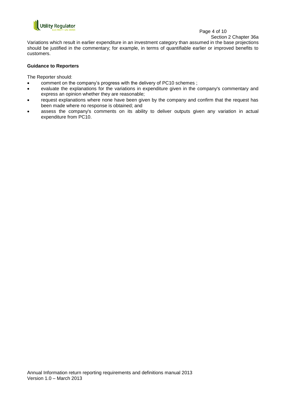

## Page 4 of 10

Section 2 Chapter 36a

Variations which result in earlier expenditure in an investment category than assumed in the base projections should be justified in the commentary; for example, in terms of quantifiable earlier or improved benefits to customers.

## **Guidance to Reporters**

The Reporter should:

- comment on the company's progress with the delivery of PC10 schemes ;
- evaluate the explanations for the variations in expenditure given in the company's commentary and express an opinion whether they are reasonable;
- request explanations where none have been given by the company and confirm that the request has been made where no response is obtained; and
- assess the company's comments on its ability to deliver outputs given any variation in actual expenditure from PC10.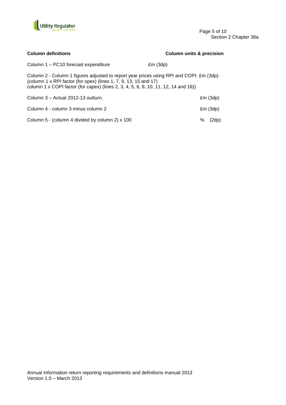

Page 5 of 10 Section 2 Chapter 36a

| <b>Column definitions</b>                                                                                                                                                                                                                           | <b>Column units &amp; precision</b> |
|-----------------------------------------------------------------------------------------------------------------------------------------------------------------------------------------------------------------------------------------------------|-------------------------------------|
| Column 1 – PC10 forecast expenditure                                                                                                                                                                                                                | Em(3dp)                             |
| Column 2 - Column 1 figures adjusted to report year prices using RPI and COPI: £m (3dp).<br>{column 1 x RPI factor (for opex) (lines 1, 7, 9, 13, 15 and 17)<br>column 1 x COPI factor (for capex) (lines 2, 3, 4, 5, 6, 8, 10, 11, 12, 14 and 16)} |                                     |
| Column 3 – Actual 2012-13 outturn.                                                                                                                                                                                                                  | Em(3dp)                             |
| Column 4 - column 3 minus column 2                                                                                                                                                                                                                  | Em(3dp)                             |
| Column 5 - (column 4 divided by column 2) x 100                                                                                                                                                                                                     | ℅<br>(2dp)                          |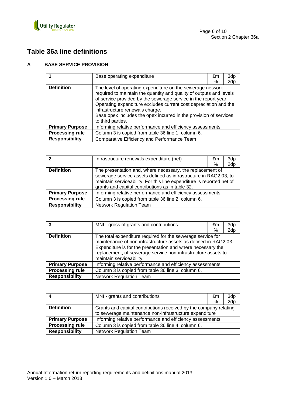

## **Table 36a line definitions**

## **A BASE SERVICE PROVISION**

|                        | Base operating expenditure                                                                                                                                                                                                                                                                                                                                                                            | £m | 3dp |
|------------------------|-------------------------------------------------------------------------------------------------------------------------------------------------------------------------------------------------------------------------------------------------------------------------------------------------------------------------------------------------------------------------------------------------------|----|-----|
|                        |                                                                                                                                                                                                                                                                                                                                                                                                       | %  | 2dp |
| <b>Definition</b>      | The level of operating expenditure on the sewerage network<br>required to maintain the quantity and quality of outputs and levels<br>of service provided by the sewerage service in the report year.<br>Operating expenditure excludes current cost depreciation and the<br>infrastructure renewals charge.<br>Base opex includes the opex incurred in the provision of services<br>to third parties. |    |     |
| <b>Primary Purpose</b> | Informing relative performance and efficiency assessments.                                                                                                                                                                                                                                                                                                                                            |    |     |
| <b>Processing rule</b> | Column 3 is copied from table 36 line 1, column 6.                                                                                                                                                                                                                                                                                                                                                    |    |     |
| <b>Responsibility</b>  | Comparative Efficiency and Performance Team                                                                                                                                                                                                                                                                                                                                                           |    |     |

| 2                      | Infrastructure renewals expenditure (net)                                                                                                                                                                                                                  | £m<br>% | 3dp<br>2dp |
|------------------------|------------------------------------------------------------------------------------------------------------------------------------------------------------------------------------------------------------------------------------------------------------|---------|------------|
| <b>Definition</b>      | The presentation and, where necessary, the replacement of<br>sewerage service assets defined as infrastructure in RAG2.03, to<br>maintain serviceability. For this line expenditure is reported net of<br>grants and capital contributions as in table 32. |         |            |
| <b>Primary Purpose</b> | Informing relative performance and efficiency assessments.                                                                                                                                                                                                 |         |            |
| <b>Processing rule</b> | Column 3 is copied from table 36 line 2, column 6.                                                                                                                                                                                                         |         |            |
| <b>Responsibility</b>  | <b>Network Regulation Team</b>                                                                                                                                                                                                                             |         |            |

| 3                      | MNI - gross of grants and contributions                                                                                                                                                                                                                                                    | £m<br>% | 3dp<br>2dp |
|------------------------|--------------------------------------------------------------------------------------------------------------------------------------------------------------------------------------------------------------------------------------------------------------------------------------------|---------|------------|
| <b>Definition</b>      | The total expenditure required for the sewerage service for<br>maintenance of non-infrastructure assets as defined in RAG2.03.<br>Expenditure is for the presentation and where necessary the<br>replacement, of sewerage service non-infrastructure assets to<br>maintain serviceability. |         |            |
| <b>Primary Purpose</b> | Informing relative performance and efficiency assessments.                                                                                                                                                                                                                                 |         |            |
| <b>Processing rule</b> | Column 3 is copied from table 36 line 3, column 6.                                                                                                                                                                                                                                         |         |            |
| <b>Responsibility</b>  | <b>Network Regulation Team</b>                                                                                                                                                                                                                                                             |         |            |

| 4                      | MNI - grants and contributions                                    | £m | 3dp |
|------------------------|-------------------------------------------------------------------|----|-----|
|                        |                                                                   | %  | 2dp |
| <b>Definition</b>      | Grants and capital contributions received by the company relating |    |     |
|                        | to sewerage maintenance non-infrastructure expenditure            |    |     |
| <b>Primary Purpose</b> | Informing relative performance and efficiency assessments         |    |     |
| <b>Processing rule</b> | Column 3 is copied from table 36 line 4, column 6.                |    |     |
| <b>Responsibility</b>  | <b>Network Regulation Team</b>                                    |    |     |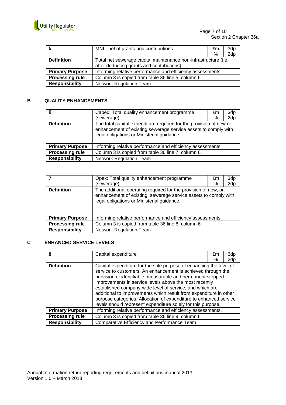

| -5                     | MNI - net of grants and contributions                                                                        | £m<br>℅ | 3dp<br>2dp |
|------------------------|--------------------------------------------------------------------------------------------------------------|---------|------------|
| <b>Definition</b>      | Total net sewerage capital maintenance non-infrastructure (i.e.<br>after deducting grants and contributions) |         |            |
| <b>Primary Purpose</b> | Informing relative performance and efficiency assessments                                                    |         |            |
| <b>Processing rule</b> | Column 3 is copied from table 36 line 5, column 6.                                                           |         |            |
| <b>Responsibility</b>  | <b>Network Regulation Team</b>                                                                               |         |            |

## **B QUALITY ENHANCEMENTS**

| 6                      | Capex: Total quality enhancement programme<br>(sewerage)                                                                                                                           | £m<br>% | 3dp<br>2dp |
|------------------------|------------------------------------------------------------------------------------------------------------------------------------------------------------------------------------|---------|------------|
| <b>Definition</b>      | The total capital expenditure required for the provision of new or<br>enhancement of existing sewerage service assets to comply with<br>legal obligations or Ministerial guidance. |         |            |
| <b>Primary Purpose</b> | Informing relative performance and efficiency assessments.                                                                                                                         |         |            |
| <b>Processing rule</b> | Column 3 is copied from table 36 line 7, column 6.                                                                                                                                 |         |            |
| <b>Responsibility</b>  | <b>Network Regulation Team</b>                                                                                                                                                     |         |            |

|                        | Opex: Total quality enhancement programme<br>(sewerage)                                                                                                                         | £m<br>% | 3dp<br>2dp |
|------------------------|---------------------------------------------------------------------------------------------------------------------------------------------------------------------------------|---------|------------|
| <b>Definition</b>      | The additional operating required for the provision of new, or<br>enhancement of existing, sewerage service assets to comply with<br>legal obligations or Ministerial guidance. |         |            |
| <b>Primary Purpose</b> | Informing relative performance and efficiency assessments.                                                                                                                      |         |            |
| <b>Processing rule</b> | Column 3 is copied from table 36 line 8, column 6.                                                                                                                              |         |            |
| <b>Responsibility</b>  | <b>Network Regulation Team</b>                                                                                                                                                  |         |            |

## **C ENHANCED SERVICE LEVELS**

| 8                      | Capital expenditure                                                                                                                                                                                                                                                                                                                                                                                                                                                                                                               | £m<br>℅ | 3dp<br>2dp |
|------------------------|-----------------------------------------------------------------------------------------------------------------------------------------------------------------------------------------------------------------------------------------------------------------------------------------------------------------------------------------------------------------------------------------------------------------------------------------------------------------------------------------------------------------------------------|---------|------------|
| <b>Definition</b>      | Capital expenditure for the sole purpose of enhancing the level of<br>service to customers. An enhancement is achieved through the<br>provision of identifiable, measurable and permanent stepped<br>improvements in service levels above the most recently<br>established company-wide level of service, and which are<br>additional to improvements which result from expenditure in other<br>purpose categories. Allocation of expenditure to enhanced service<br>levels should represent expenditure solely for this purpose. |         |            |
| <b>Primary Purpose</b> | Informing relative performance and efficiency assessments.                                                                                                                                                                                                                                                                                                                                                                                                                                                                        |         |            |
| <b>Processing rule</b> | Column 3 is copied from table 36 line 9, column 6.                                                                                                                                                                                                                                                                                                                                                                                                                                                                                |         |            |
| <b>Responsibility</b>  | Comparative Efficiency and Performance Team                                                                                                                                                                                                                                                                                                                                                                                                                                                                                       |         |            |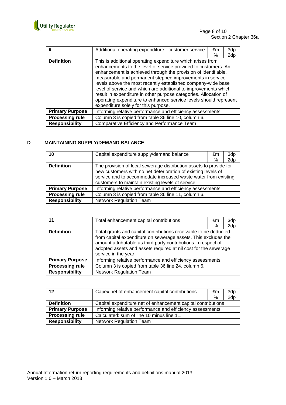

Page 8 of 10 Section 2 Chapter 36a

| 9                      | Additional operating expenditure - customer service                                                                                                                                                                                                                                                                                                                                                                                                                                                                                                                            | £m | 3dp |
|------------------------|--------------------------------------------------------------------------------------------------------------------------------------------------------------------------------------------------------------------------------------------------------------------------------------------------------------------------------------------------------------------------------------------------------------------------------------------------------------------------------------------------------------------------------------------------------------------------------|----|-----|
|                        |                                                                                                                                                                                                                                                                                                                                                                                                                                                                                                                                                                                | ℅  | 2dp |
| <b>Definition</b>      | This is additional operating expenditure which arises from<br>enhancements to the level of service provided to customers. An<br>enhancement is achieved through the provision of identifiable,<br>measurable and permanent stepped improvements in service<br>levels above the most recently established company-wide base<br>level of service and which are additional to improvements which<br>result in expenditure in other purpose categories. Allocation of<br>operating expenditure to enhanced service levels should represent<br>expenditure solely for this purpose. |    |     |
| <b>Primary Purpose</b> | Informing relative performance and efficiency assessments.                                                                                                                                                                                                                                                                                                                                                                                                                                                                                                                     |    |     |
| <b>Processing rule</b> | Column 3 is copied from table 36 line 10, column 6.                                                                                                                                                                                                                                                                                                                                                                                                                                                                                                                            |    |     |
| <b>Responsibility</b>  | Comparative Efficiency and Performance Team                                                                                                                                                                                                                                                                                                                                                                                                                                                                                                                                    |    |     |

## **D MAINTAINING SUPPLY/DEMAND BALANCE**

| 10                     | Capital expenditure supply/demand balance                                                                                                                                                                                                                  | £m<br>% | 3dp<br>2dp |
|------------------------|------------------------------------------------------------------------------------------------------------------------------------------------------------------------------------------------------------------------------------------------------------|---------|------------|
| <b>Definition</b>      | The provision of local sewerage distribution assets to provide for<br>new customers with no net deterioration of existing levels of<br>service and to accommodate increased waste water from existing<br>customers to maintain existing levels of service. |         |            |
| <b>Primary Purpose</b> | Informing relative performance and efficiency assessments.                                                                                                                                                                                                 |         |            |
| <b>Processing rule</b> | Column 3 is copied from table 36 line 11, column 6.                                                                                                                                                                                                        |         |            |
| <b>Responsibility</b>  | <b>Network Regulation Team</b>                                                                                                                                                                                                                             |         |            |

| 11                     | Total enhancement capital contributions                                                                                                                                                                                                                                                         | £m<br>% | 3dp<br>2dp |
|------------------------|-------------------------------------------------------------------------------------------------------------------------------------------------------------------------------------------------------------------------------------------------------------------------------------------------|---------|------------|
| <b>Definition</b>      | Total grants and capital contributions receivable to be deducted<br>from capital expenditure on sewerage assets. This excludes the<br>amount attributable as third party contributions in respect of<br>adopted assets and assets required at nil cost for the sewerage<br>service in the year. |         |            |
| <b>Primary Purpose</b> | Informing relative performance and efficiency assessments.                                                                                                                                                                                                                                      |         |            |
| <b>Processing rule</b> | Column 3 is copied from table 36 line 24, column 6.                                                                                                                                                                                                                                             |         |            |
| <b>Responsibility</b>  | <b>Network Regulation Team</b>                                                                                                                                                                                                                                                                  |         |            |

| 12                     | Capex net of enhancement capital contributions               | £m | 3dp |
|------------------------|--------------------------------------------------------------|----|-----|
|                        |                                                              | %  | 2dp |
| <b>Definition</b>      | Capital expenditure net of enhancement capital contributions |    |     |
| <b>Primary Purpose</b> | Informing relative performance and efficiency assessments.   |    |     |
| <b>Processing rule</b> | Calculated: sum of line 10 minus line 11.                    |    |     |
| <b>Responsibility</b>  | <b>Network Regulation Team</b>                               |    |     |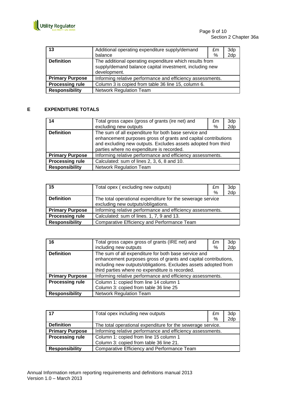

| 13                     | Additional operating expenditure supply/demand<br>balance                                                                          | £m<br>% | 3dp<br>2dp |
|------------------------|------------------------------------------------------------------------------------------------------------------------------------|---------|------------|
| <b>Definition</b>      | The additional operating expenditure which results from<br>supply/demand balance capital investment, including new<br>development. |         |            |
| <b>Primary Purpose</b> | Informing relative performance and efficiency assessments.                                                                         |         |            |
| <b>Processing rule</b> | Column 3 is copied from table 36 line 15, column 6.                                                                                |         |            |
| <b>Responsibility</b>  | <b>Network Regulation Team</b>                                                                                                     |         |            |

## **E EXPENDITURE TOTALS**

| 14                     | Total gross capex (gross of grants (ire net) and<br>excluding new outputs                                                                                                                                                            | £m<br>% | 3dp<br>2dp |
|------------------------|--------------------------------------------------------------------------------------------------------------------------------------------------------------------------------------------------------------------------------------|---------|------------|
| <b>Definition</b>      | The sum of all expenditure for both base service and<br>enhancement purposes gross of grants and capital contributions<br>and excluding new outputs. Excludes assets adopted from third<br>parties where no expenditure is recorded. |         |            |
| <b>Primary Purpose</b> | Informing relative performance and efficiency assessments.                                                                                                                                                                           |         |            |
| <b>Processing rule</b> | Calculated: sum of lines 2, 3, 6, 8 and 10.                                                                                                                                                                                          |         |            |
| <b>Responsibility</b>  | Network Regulation Team                                                                                                                                                                                                              |         |            |

| 15                     | Total opex (excluding new outputs)                         | £m | 3dp |
|------------------------|------------------------------------------------------------|----|-----|
|                        |                                                            | %  | 2dp |
| <b>Definition</b>      | The total operational expenditure for the sewerage service |    |     |
|                        | excluding new outputs/obligations.                         |    |     |
| <b>Primary Purpose</b> | Informing relative performance and efficiency assessments. |    |     |
| <b>Processing rule</b> | Calculated: sum of lines. 1, 7, 9 and 13.                  |    |     |
| <b>Responsibility</b>  | Comparative Efficiency and Performance Team                |    |     |

| 16                     | Total gross capex gross of grants (IRE net) and                                                                                                                                                                                               | £m | 3dp |
|------------------------|-----------------------------------------------------------------------------------------------------------------------------------------------------------------------------------------------------------------------------------------------|----|-----|
|                        | including new outputs                                                                                                                                                                                                                         | ℅  | 2dp |
| <b>Definition</b>      | The sum of all expenditure for both base service and<br>enhancement purposes gross of grants and capital contributions,<br>including new outputs/obligations. Excludes assets adopted from<br>third parties where no expenditure is recorded. |    |     |
| <b>Primary Purpose</b> | Informing relative performance and efficiency assessments.                                                                                                                                                                                    |    |     |
| <b>Processing rule</b> | Column 1: copied from line 14 column 1                                                                                                                                                                                                        |    |     |
|                        | Column 3: copied from table 36 line 25                                                                                                                                                                                                        |    |     |
| <b>Responsibility</b>  | <b>Network Regulation Team</b>                                                                                                                                                                                                                |    |     |

| 17                     | Total opex including new outputs                            | £m | 3dp |
|------------------------|-------------------------------------------------------------|----|-----|
|                        |                                                             | %  | 2dp |
| <b>Definition</b>      | The total operational expenditure for the sewerage service. |    |     |
| <b>Primary Purpose</b> | Informing relative performance and efficiency assessments.  |    |     |
| <b>Processing rule</b> | Column 1: copied from line 15 column 1                      |    |     |
|                        | Column 3: copied from table 36 line 21.                     |    |     |
| <b>Responsibility</b>  | Comparative Efficiency and Performance Team                 |    |     |